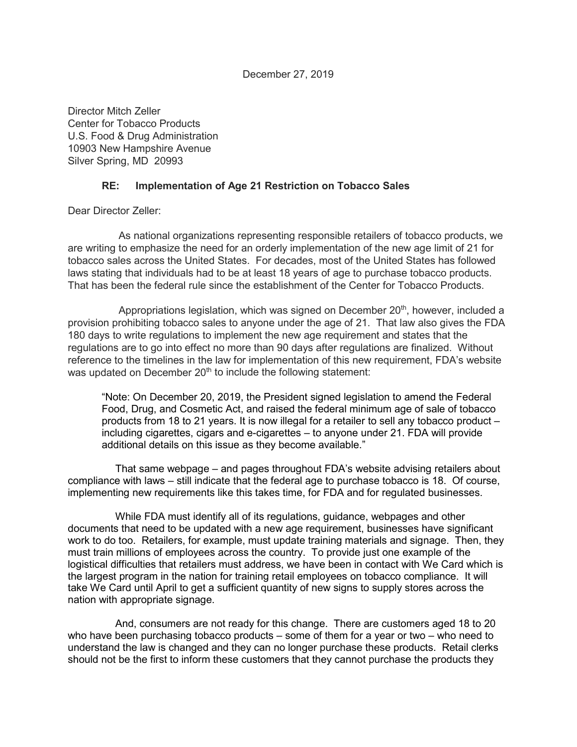December 27, 2019

Director Mitch Zeller Center for Tobacco Products U.S. Food & Drug Administration 10903 New Hampshire Avenue Silver Spring, MD 20993

## **RE: Implementation of Age 21 Restriction on Tobacco Sales**

Dear Director Zeller:

As national organizations representing responsible retailers of tobacco products, we are writing to emphasize the need for an orderly implementation of the new age limit of 21 for tobacco sales across the United States. For decades, most of the United States has followed laws stating that individuals had to be at least 18 years of age to purchase tobacco products. That has been the federal rule since the establishment of the Center for Tobacco Products.

Appropriations legislation, which was signed on December  $20<sup>th</sup>$ , however, included a provision prohibiting tobacco sales to anyone under the age of 21. That law also gives the FDA 180 days to write regulations to implement the new age requirement and states that the regulations are to go into effect no more than 90 days after regulations are finalized. Without reference to the timelines in the law for implementation of this new requirement, FDA's website was updated on December 20<sup>th</sup> to include the following statement:

"Note: On December 20, 2019, the President signed legislation to amend the Federal Food, Drug, and Cosmetic Act, and raised the federal minimum age of sale of tobacco products from 18 to 21 years. It is now illegal for a retailer to sell any tobacco product – including cigarettes, cigars and e-cigarettes – to anyone under 21. FDA will provide additional details on this issue as they become available."

That same webpage – and pages throughout FDA's website advising retailers about compliance with laws – still indicate that the federal age to purchase tobacco is 18. Of course, implementing new requirements like this takes time, for FDA and for regulated businesses.

While FDA must identify all of its regulations, guidance, webpages and other documents that need to be updated with a new age requirement, businesses have significant work to do too. Retailers, for example, must update training materials and signage. Then, they must train millions of employees across the country. To provide just one example of the logistical difficulties that retailers must address, we have been in contact with We Card which is the largest program in the nation for training retail employees on tobacco compliance. It will take We Card until April to get a sufficient quantity of new signs to supply stores across the nation with appropriate signage.

And, consumers are not ready for this change. There are customers aged 18 to 20 who have been purchasing tobacco products – some of them for a year or two – who need to understand the law is changed and they can no longer purchase these products. Retail clerks should not be the first to inform these customers that they cannot purchase the products they